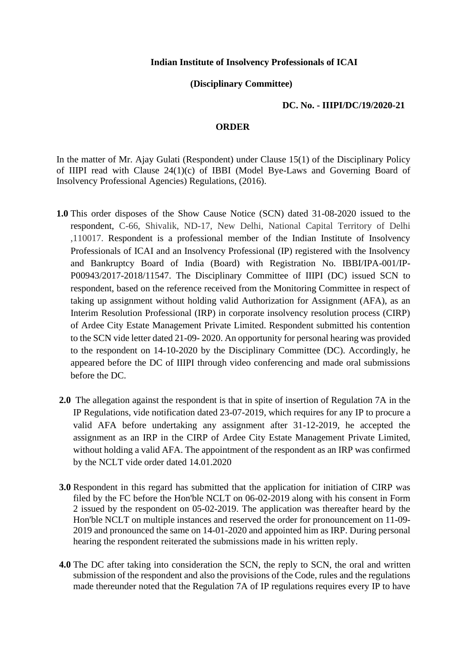## **Indian Institute of Insolvency Professionals of ICAI**

## **(Disciplinary Committee)**

## **DC. No. - IIIPI/DC/19/2020-21**

## **ORDER**

In the matter of Mr. Ajay Gulati (Respondent) under Clause 15(1) of the Disciplinary Policy of IIIPI read with Clause 24(1)(c) of IBBI (Model Bye-Laws and Governing Board of Insolvency Professional Agencies) Regulations, (2016).

- **1.0** This order disposes of the Show Cause Notice (SCN) dated 31-08-2020 issued to the respondent, C-66, Shivalik, ND-17, New Delhi, National Capital Territory of Delhi ,110017. Respondent is a professional member of the Indian Institute of Insolvency Professionals of ICAI and an Insolvency Professional (IP) registered with the Insolvency and Bankruptcy Board of India (Board) with Registration No. IBBI/IPA-001/IP-P00943/2017-2018/11547. The Disciplinary Committee of IIIPI (DC) issued SCN to respondent, based on the reference received from the Monitoring Committee in respect of taking up assignment without holding valid Authorization for Assignment (AFA), as an Interim Resolution Professional (IRP) in corporate insolvency resolution process (CIRP) of Ardee City Estate Management Private Limited. Respondent submitted his contention to the SCN vide letter dated 21-09- 2020. An opportunity for personal hearing was provided to the respondent on 14-10-2020 by the Disciplinary Committee (DC). Accordingly, he appeared before the DC of IIIPI through video conferencing and made oral submissions before the DC.
- **2.0** The allegation against the respondent is that in spite of insertion of Regulation 7A in the IP Regulations, vide notification dated 23-07-2019, which requires for any IP to procure a valid AFA before undertaking any assignment after 31-12-2019, he accepted the assignment as an IRP in the CIRP of Ardee City Estate Management Private Limited, without holding a valid AFA. The appointment of the respondent as an IRP was confirmed by the NCLT vide order dated 14.01.2020
- **3.0** Respondent in this regard has submitted that the application for initiation of CIRP was filed by the FC before the Hon'ble NCLT on 06-02-2019 along with his consent in Form 2 issued by the respondent on 05-02-2019. The application was thereafter heard by the Hon'ble NCLT on multiple instances and reserved the order for pronouncement on 11-09- 2019 and pronounced the same on 14-01-2020 and appointed him as IRP. During personal hearing the respondent reiterated the submissions made in his written reply.
- **4.0** The DC after taking into consideration the SCN, the reply to SCN, the oral and written submission of the respondent and also the provisions of the Code, rules and the regulations made thereunder noted that the Regulation 7A of IP regulations requires every IP to have